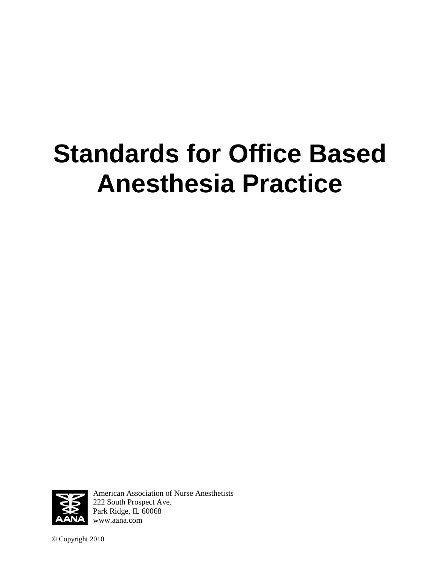# **Standards for Office Based Anesthesia Practice**



American Association of Nurse Anesthetists 222 South Prospect Ave. Park Ridge, IL 60068 [www.aana.com](http://www.aana.com/)

© Copyright 2010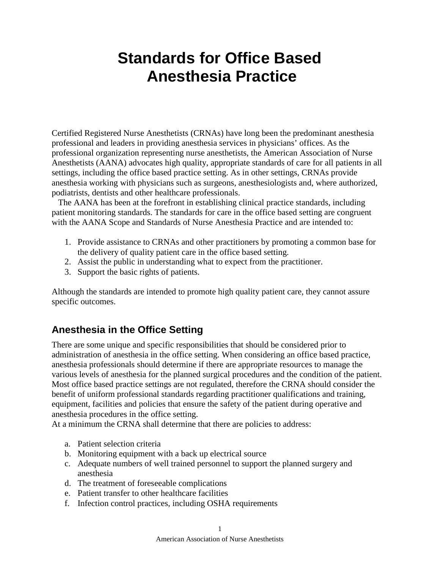# **Standards for Office Based Anesthesia Practice**

Certified Registered Nurse Anesthetists (CRNAs) have long been the predominant anesthesia professional and leaders in providing anesthesia services in physicians' offices. As the professional organization representing nurse anesthetists, the American Association of Nurse Anesthetists (AANA) advocates high quality, appropriate standards of care for all patients in all settings, including the office based practice setting. As in other settings, CRNAs provide anesthesia working with physicians such as surgeons, anesthesiologists and, where authorized, podiatrists, dentists and other healthcare professionals.

The AANA has been at the forefront in establishing clinical practice standards, including patient monitoring standards. The standards for care in the office based setting are congruent with the AANA Scope and Standards of Nurse Anesthesia Practice and are intended to:

- 1. Provide assistance to CRNAs and other practitioners by promoting a common base for the delivery of quality patient care in the office based setting.
- 2. Assist the public in understanding what to expect from the practitioner.
- 3. Support the basic rights of patients.

Although the standards are intended to promote high quality patient care, they cannot assure specific outcomes.

# **Anesthesia in the Office Setting**

There are some unique and specific responsibilities that should be considered prior to administration of anesthesia in the office setting. When considering an office based practice, anesthesia professionals should determine if there are appropriate resources to manage the various levels of anesthesia for the planned surgical procedures and the condition of the patient. Most office based practice settings are not regulated, therefore the CRNA should consider the benefit of uniform professional standards regarding practitioner qualifications and training, equipment, facilities and policies that ensure the safety of the patient during operative and anesthesia procedures in the office setting.

At a minimum the CRNA shall determine that there are policies to address:

- a. Patient selection criteria
- b. Monitoring equipment with a back up electrical source
- c. Adequate numbers of well trained personnel to support the planned surgery and anesthesia
- d. The treatment of foreseeable complications
- e. Patient transfer to other healthcare facilities
- f. Infection control practices, including OSHA requirements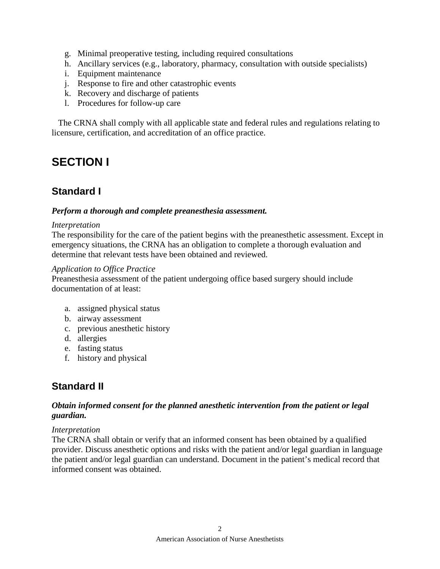- g. Minimal preoperative testing, including required consultations
- h. Ancillary services (e.g., laboratory, pharmacy, consultation with outside specialists)
- i. Equipment maintenance
- j. Response to fire and other catastrophic events
- k. Recovery and discharge of patients
- l. Procedures for follow-up care

The CRNA shall comply with all applicable state and federal rules and regulations relating to licensure, certification, and accreditation of an office practice.

# **SECTION I**

# **Standard I**

#### *Perform a thorough and complete preanesthesia assessment.*

#### *Interpretation*

The responsibility for the care of the patient begins with the preanesthetic assessment. Except in emergency situations, the CRNA has an obligation to complete a thorough evaluation and determine that relevant tests have been obtained and reviewed.

#### *Application to Office Practice*

Preanesthesia assessment of the patient undergoing office based surgery should include documentation of at least:

- a. assigned physical status
- b. airway assessment
- c. previous anesthetic history
- d. allergies
- e. fasting status
- f. history and physical

# **Standard II**

#### *Obtain informed consent for the planned anesthetic intervention from the patient or legal guardian.*

#### *Interpretation*

The CRNA shall obtain or verify that an informed consent has been obtained by a qualified provider. Discuss anesthetic options and risks with the patient and/or legal guardian in language the patient and/or legal guardian can understand. Document in the patient's medical record that informed consent was obtained.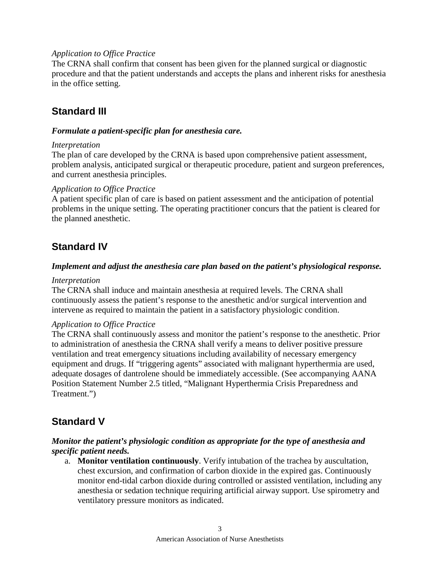#### *Application to Office Practice*

The CRNA shall confirm that consent has been given for the planned surgical or diagnostic procedure and that the patient understands and accepts the plans and inherent risks for anesthesia in the office setting.

# **Standard III**

#### *Formulate a patient-specific plan for anesthesia care.*

#### *Interpretation*

The plan of care developed by the CRNA is based upon comprehensive patient assessment, problem analysis, anticipated surgical or therapeutic procedure, patient and surgeon preferences, and current anesthesia principles.

#### *Application to Office Practice*

A patient specific plan of care is based on patient assessment and the anticipation of potential problems in the unique setting. The operating practitioner concurs that the patient is cleared for the planned anesthetic.

# **Standard IV**

#### *Implement and adjust the anesthesia care plan based on the patient's physiological response.*

#### *Interpretation*

The CRNA shall induce and maintain anesthesia at required levels. The CRNA shall continuously assess the patient's response to the anesthetic and/or surgical intervention and intervene as required to maintain the patient in a satisfactory physiologic condition.

#### *Application to Office Practice*

The CRNA shall continuously assess and monitor the patient's response to the anesthetic. Prior to administration of anesthesia the CRNA shall verify a means to deliver positive pressure ventilation and treat emergency situations including availability of necessary emergency equipment and drugs. If "triggering agents" associated with malignant hyperthermia are used, adequate dosages of dantrolene should be immediately accessible. (See accompanying AANA Position Statement Number 2.5 titled, "Malignant Hyperthermia Crisis Preparedness and Treatment.")

# **Standard V**

#### *Monitor the patient's physiologic condition as appropriate for the type of anesthesia and specific patient needs.*

a. **Monitor ventilation continuously**. Verify intubation of the trachea by auscultation, chest excursion, and confirmation of carbon dioxide in the expired gas. Continuously monitor end-tidal carbon dioxide during controlled or assisted ventilation, including any anesthesia or sedation technique requiring artificial airway support. Use spirometry and ventilatory pressure monitors as indicated.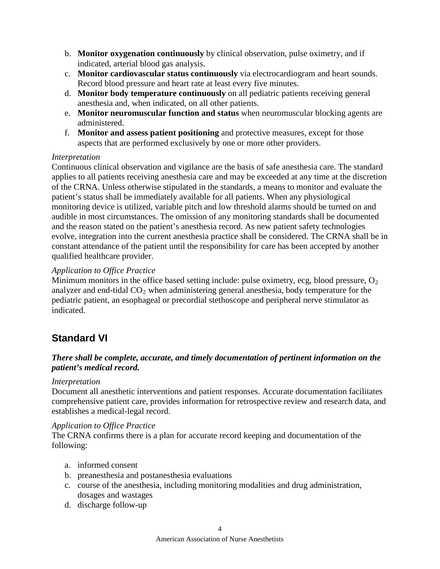- b. **Monitor oxygenation continuously** by clinical observation, pulse oximetry, and if indicated, arterial blood gas analysis.
- c. **Monitor cardiovascular status continuously** via electrocardiogram and heart sounds. Record blood pressure and heart rate at least every five minutes.
- d. **Monitor body temperature continuously** on all pediatric patients receiving general anesthesia and, when indicated, on all other patients.
- e. **Monitor neuromuscular function and status** when neuromuscular blocking agents are administered.
- f. **Monitor and assess patient positioning** and protective measures, except for those aspects that are performed exclusively by one or more other providers.

#### *Interpretation*

Continuous clinical observation and vigilance are the basis of safe anesthesia care. The standard applies to all patients receiving anesthesia care and may be exceeded at any time at the discretion of the CRNA. Unless otherwise stipulated in the standards, a means to monitor and evaluate the patient's status shall be immediately available for all patients. When any physiological monitoring device is utilized, variable pitch and low threshold alarms should be turned on and audible in most circumstances. The omission of any monitoring standards shall be documented and the reason stated on the patient's anesthesia record. As new patient safety technologies evolve, integration into the current anesthesia practice shall be considered. The CRNA shall be in constant attendance of the patient until the responsibility for care has been accepted by another qualified healthcare provider.

#### *Application to Office Practice*

Minimum monitors in the office based setting include: pulse oximetry, ecg, blood pressure,  $O_2$ analyzer and end-tidal  $CO<sub>2</sub>$  when administering general anesthesia, body temperature for the pediatric patient, an esophageal or precordial stethoscope and peripheral nerve stimulator as indicated.

# **Standard VI**

#### *There shall be complete, accurate, and timely documentation of pertinent information on the patient's medical record.*

#### *Interpretation*

Document all anesthetic interventions and patient responses. Accurate documentation facilitates comprehensive patient care, provides information for retrospective review and research data, and establishes a medical-legal record.

#### *Application to Office Practice*

The CRNA confirms there is a plan for accurate record keeping and documentation of the following:

- a. informed consent
- b. preanesthesia and postanesthesia evaluations
- c. course of the anesthesia, including monitoring modalities and drug administration, dosages and wastages
- d. discharge follow-up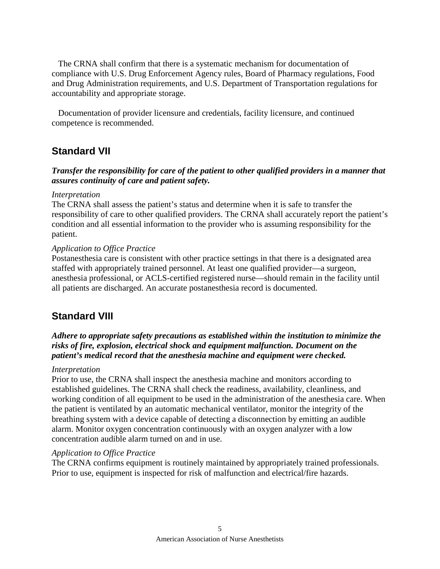The CRNA shall confirm that there is a systematic mechanism for documentation of compliance with U.S. Drug Enforcement Agency rules, Board of Pharmacy regulations, Food and Drug Administration requirements, and U.S. Department of Transportation regulations for accountability and appropriate storage.

Documentation of provider licensure and credentials, facility licensure, and continued competence is recommended.

# **Standard VII**

#### *Transfer the responsibility for care of the patient to other qualified providers in a manner that assures continuity of care and patient safety.*

#### *Interpretation*

The CRNA shall assess the patient's status and determine when it is safe to transfer the responsibility of care to other qualified providers. The CRNA shall accurately report the patient's condition and all essential information to the provider who is assuming responsibility for the patient.

#### *Application to Office Practice*

Postanesthesia care is consistent with other practice settings in that there is a designated area staffed with appropriately trained personnel. At least one qualified provider—a surgeon, anesthesia professional, or ACLS-certified registered nurse—should remain in the facility until all patients are discharged. An accurate postanesthesia record is documented.

## **Standard VIII**

#### *Adhere to appropriate safety precautions as established within the institution to minimize the risks of fire, explosion, electrical shock and equipment malfunction. Document on the patient's medical record that the anesthesia machine and equipment were checked.*

#### *Interpretation*

Prior to use, the CRNA shall inspect the anesthesia machine and monitors according to established guidelines. The CRNA shall check the readiness, availability, cleanliness, and working condition of all equipment to be used in the administration of the anesthesia care. When the patient is ventilated by an automatic mechanical ventilator, monitor the integrity of the breathing system with a device capable of detecting a disconnection by emitting an audible alarm. Monitor oxygen concentration continuously with an oxygen analyzer with a low concentration audible alarm turned on and in use.

#### *Application to Office Practice*

The CRNA confirms equipment is routinely maintained by appropriately trained professionals. Prior to use, equipment is inspected for risk of malfunction and electrical/fire hazards.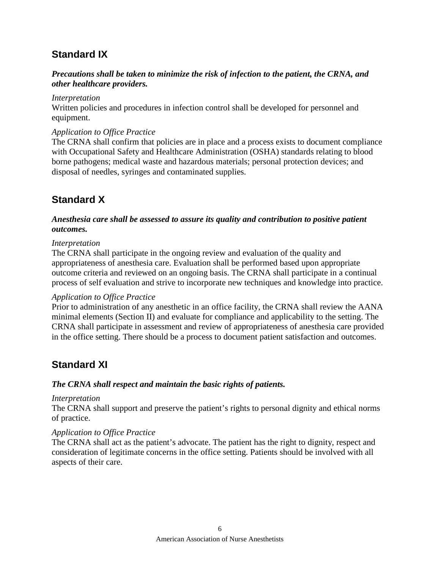# **Standard IX**

#### *Precautions shall be taken to minimize the risk of infection to the patient, the CRNA, and other healthcare providers.*

#### *Interpretation*

Written policies and procedures in infection control shall be developed for personnel and equipment.

#### *Application to Office Practice*

The CRNA shall confirm that policies are in place and a process exists to document compliance with Occupational Safety and Healthcare Administration (OSHA) standards relating to blood borne pathogens; medical waste and hazardous materials; personal protection devices; and disposal of needles, syringes and contaminated supplies.

# **Standard X**

#### *Anesthesia care shall be assessed to assure its quality and contribution to positive patient outcomes.*

#### *Interpretation*

The CRNA shall participate in the ongoing review and evaluation of the quality and appropriateness of anesthesia care. Evaluation shall be performed based upon appropriate outcome criteria and reviewed on an ongoing basis. The CRNA shall participate in a continual process of self evaluation and strive to incorporate new techniques and knowledge into practice.

#### *Application to Office Practice*

Prior to administration of any anesthetic in an office facility, the CRNA shall review the AANA minimal elements (Section II) and evaluate for compliance and applicability to the setting. The CRNA shall participate in assessment and review of appropriateness of anesthesia care provided in the office setting. There should be a process to document patient satisfaction and outcomes.

# **Standard XI**

#### *The CRNA shall respect and maintain the basic rights of patients.*

#### *Interpretation*

The CRNA shall support and preserve the patient's rights to personal dignity and ethical norms of practice.

#### *Application to Office Practice*

The CRNA shall act as the patient's advocate. The patient has the right to dignity, respect and consideration of legitimate concerns in the office setting. Patients should be involved with all aspects of their care.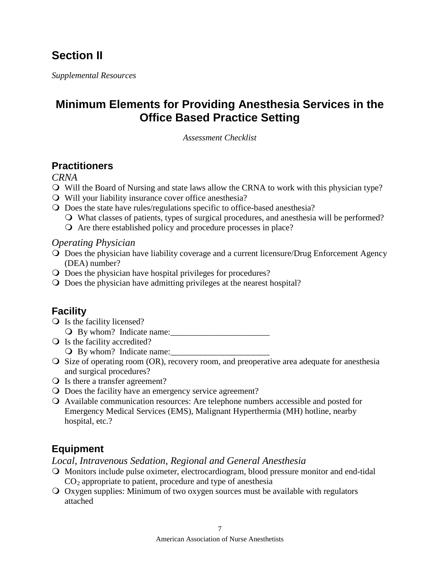# **Section II**

*Supplemental Resources*

# **Minimum Elements for Providing Anesthesia Services in the Office Based Practice Setting**

*Assessment Checklist*

# **Practitioners**

*CRNA*

- Will the Board of Nursing and state laws allow the CRNA to work with this physician type?
- Will your liability insurance cover office anesthesia?
- Does the state have rules/regulations specific to office-based anesthesia?
	- What classes of patients, types of surgical procedures, and anesthesia will be performed?
	- Are there established policy and procedure processes in place?

#### *Operating Physician*

- Does the physician have liability coverage and a current licensure/Drug Enforcement Agency (DEA) number?
- Does the physician have hospital privileges for procedures?
- Does the physician have admitting privileges at the nearest hospital?

# **Facility**

- O Is the facility licensed? O By whom? Indicate name:
- Is the facility accredited?  $\bigcirc$  By whom? Indicate name:
- Size of operating room (OR), recovery room, and preoperative area adequate for anesthesia and surgical procedures?
- Is there a transfer agreement?
- Does the facility have an emergency service agreement?
- Available communication resources: Are telephone numbers accessible and posted for Emergency Medical Services (EMS), Malignant Hyperthermia (MH) hotline, nearby hospital, etc.?

# **Equipment**

*Local, Intravenous Sedation, Regional and General Anesthesia*

- Monitors include pulse oximeter, electrocardiogram, blood pressure monitor and end-tidal  $CO<sub>2</sub>$  appropriate to patient, procedure and type of anesthesia
- Oxygen supplies: Minimum of two oxygen sources must be available with regulators attached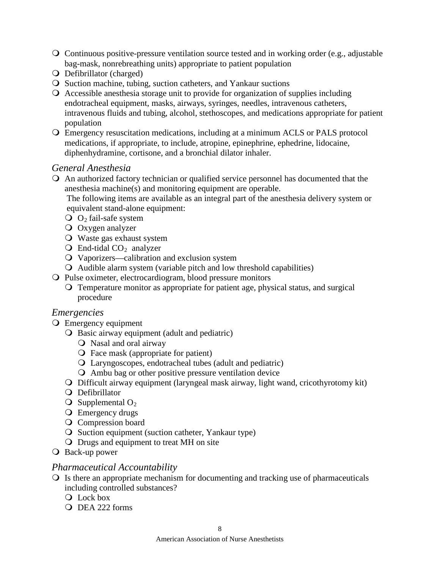- $\Omega$  Continuous positive-pressure ventilation source tested and in working order (e.g., adjustable bag-mask, nonrebreathing units) appropriate to patient population
- Defibrillator (charged)
- O Suction machine, tubing, suction catheters, and Yankaur suctions
- Accessible anesthesia storage unit to provide for organization of supplies including endotracheal equipment, masks, airways, syringes, needles, intravenous catheters, intravenous fluids and tubing, alcohol, stethoscopes, and medications appropriate for patient population
- Emergency resuscitation medications, including at a minimum ACLS or PALS protocol medications, if appropriate, to include, atropine, epinephrine, ephedrine, lidocaine, diphenhydramine, cortisone, and a bronchial dilator inhaler.

#### *General Anesthesia*

 An authorized factory technician or qualified service personnel has documented that the anesthesia machine(s) and monitoring equipment are operable.

The following items are available as an integral part of the anesthesia delivery system or equivalent stand-alone equipment:

- $\overline{O}$  O<sub>2</sub> fail-safe system
- Oxygen analyzer
- Waste gas exhaust system
- $\bigcirc$  End-tidal CO<sub>2</sub> analyzer
- Vaporizers—calibration and exclusion system
- Audible alarm system (variable pitch and low threshold capabilities)
- Pulse oximeter, electrocardiogram, blood pressure monitors
	- Temperature monitor as appropriate for patient age, physical status, and surgical procedure

#### *Emergencies*

- Emergency equipment
	- Basic airway equipment (adult and pediatric)
		- Nasal and oral airway
		- Face mask (appropriate for patient)
		- Laryngoscopes, endotracheal tubes (adult and pediatric)
		- Ambu bag or other positive pressure ventilation device
	- Difficult airway equipment (laryngeal mask airway, light wand, cricothyrotomy kit)
	- Q Defibrillator
	- $\bigcirc$  Supplemental O<sub>2</sub>
	- Emergency drugs
	- Q Compression board
	- **O** Suction equipment (suction catheter, Yankaur type)
	- Drugs and equipment to treat MH on site
- **O** Back-up power

#### *Pharmaceutical Accountability*

- $\Omega$  Is there an appropriate mechanism for documenting and tracking use of pharmaceuticals including controlled substances?
	- Q Lock box
	- Q DEA 222 forms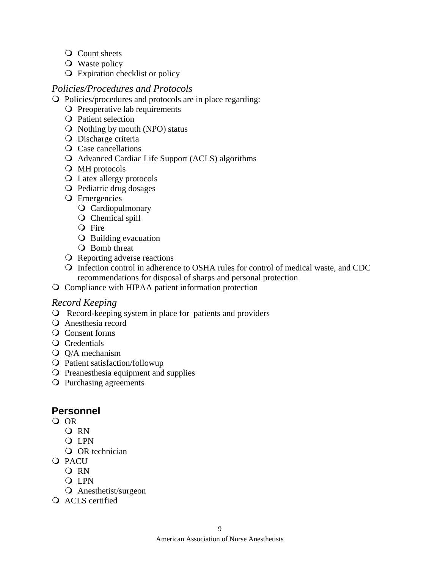- Q Count sheets
- Waste policy
- Expiration checklist or policy

#### *Policies/Procedures and Protocols*

- Policies/procedures and protocols are in place regarding:
	- **O** Preoperative lab requirements
	- **O** Patient selection
	- $\overline{O}$  Nothing by mouth (NPO) status
	- Discharge criteria
	- Case cancellations
	- Advanced Cardiac Life Support (ACLS) algorithms
	- MH protocols
	- Latex allergy protocols
	- O Pediatric drug dosages
	- O Emergencies
		- O Cardiopulmonary
		- O Chemical spill
		- **O** Fire
		- **O** Building evacuation
		- **Q** Bomb threat
	- **Q** Reporting adverse reactions
	- Infection control in adherence to OSHA rules for control of medical waste, and CDC recommendations for disposal of sharps and personal protection
- Compliance with HIPAA patient information protection

## *Record Keeping*

- Record-keeping system in place for patients and providers
- Anesthesia record
- Q Consent forms
- **Q** Credentials
- Q/A mechanism
- **O** Patient satisfaction/followup
- O Preanesthesia equipment and supplies
- **O** Purchasing agreements

## **Personnel**

- OR
	- O RN
	- Q LPN
	- O OR technician
- Q PACU
	- O RN
	- LPN
	- Anesthetist/surgeon
- ACLS certified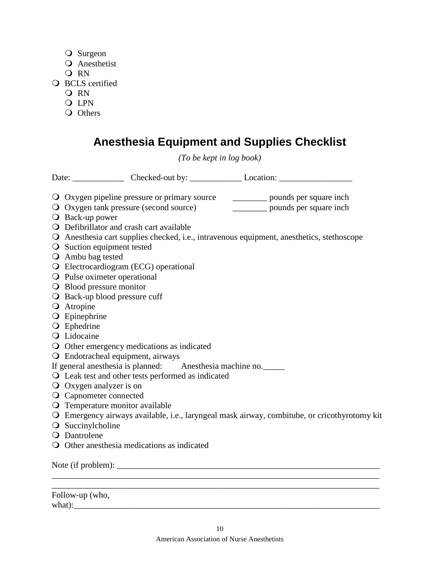- O Surgeon
- **O** Anesthetist
- O RN
- O BCLS certified
	- O RN
	- O LPN
	- Q Others

# **Anesthesia Equipment and Supplies Checklist**

*(To be kept in log book)*

| O Oxygen pipeline pressure or primary source _____________ pounds per square inch<br>pounds per square inch<br>O Oxygen tank pressure (second source)<br>O Back-up power                                                                                                                                                                                                                                                                                         |
|------------------------------------------------------------------------------------------------------------------------------------------------------------------------------------------------------------------------------------------------------------------------------------------------------------------------------------------------------------------------------------------------------------------------------------------------------------------|
| O Defibrillator and crash cart available<br><b>O</b> Anesthesia cart supplies checked, i.e., intravenous equipment, anesthetics, stethoscope<br><b>Q</b> Suction equipment tested                                                                                                                                                                                                                                                                                |
| O Ambu bag tested<br>O Electrocardiogram (ECG) operational<br>O Pulse oximeter operational                                                                                                                                                                                                                                                                                                                                                                       |
| O Blood pressure monitor<br>O Back-up blood pressure cuff                                                                                                                                                                                                                                                                                                                                                                                                        |
| O Atropine<br><b>O</b> Epinephrine<br>O Ephedrine                                                                                                                                                                                                                                                                                                                                                                                                                |
| O Lidocaine<br>O Other emergency medications as indicated<br>O Endotracheal equipment, airways                                                                                                                                                                                                                                                                                                                                                                   |
| If general anesthesia is planned: Anesthesia machine no.<br>O Leak test and other tests performed as indicated                                                                                                                                                                                                                                                                                                                                                   |
| O Oxygen analyzer is on<br>O Capnometer connected<br>O Temperature monitor available                                                                                                                                                                                                                                                                                                                                                                             |
| O Emergency airways available, i.e., laryngeal mask airway, combitube, or cricothyrotomy kit<br><b>Q</b> Succinylcholine                                                                                                                                                                                                                                                                                                                                         |
| <b>O</b> Dantrolene<br>O Other anesthesia medications as indicated                                                                                                                                                                                                                                                                                                                                                                                               |
| Note (if problem): $\frac{1}{\sqrt{1-\frac{1}{2}}}\left\{1-\frac{1}{2}\left(1-\frac{1}{2}\right)\left(1-\frac{1}{2}\right)\left(1-\frac{1}{2}\right)\left(1-\frac{1}{2}\right)\left(1-\frac{1}{2}\right)\left(1-\frac{1}{2}\right)\left(1-\frac{1}{2}\right)\left(1-\frac{1}{2}\right)\left(1-\frac{1}{2}\right)\left(1-\frac{1}{2}\right)\left(1-\frac{1}{2}\right)\left(1-\frac{1}{2}\right)\left(1-\frac{1}{2}\right)\left(1-\frac{1}{2}\right)\left(1-\frac$ |

Follow-up (who,  $what):$ 

\_\_\_\_\_\_\_\_\_\_\_\_\_\_\_\_\_\_\_\_\_\_\_\_\_\_\_\_\_\_\_\_\_\_\_\_\_\_\_\_\_\_\_\_\_\_\_\_\_\_\_\_\_\_\_\_\_\_\_\_\_\_\_\_\_\_\_\_\_\_\_\_\_\_\_\_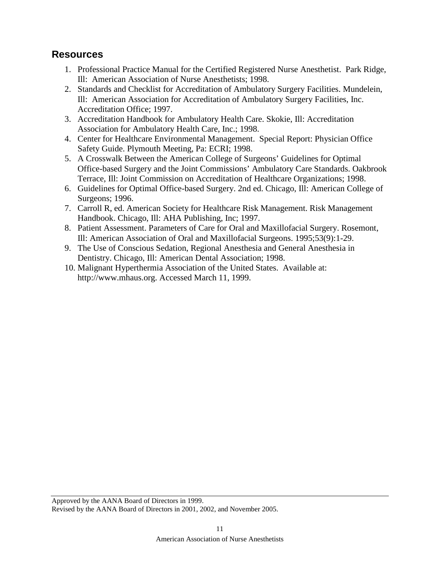# **Resources**

- 1. Professional Practice Manual for the Certified Registered Nurse Anesthetist. Park Ridge, Ill: American Association of Nurse Anesthetists; 1998.
- 2. Standards and Checklist for Accreditation of Ambulatory Surgery Facilities. Mundelein, Ill: American Association for Accreditation of Ambulatory Surgery Facilities, Inc. Accreditation Office; 1997.
- 3. Accreditation Handbook for Ambulatory Health Care. Skokie, Ill: Accreditation Association for Ambulatory Health Care, Inc.; 1998.
- 4. Center for Healthcare Environmental Management. Special Report: Physician Office Safety Guide. Plymouth Meeting, Pa: ECRI; 1998.
- 5. A Crosswalk Between the American College of Surgeons' Guidelines for Optimal Office-based Surgery and the Joint Commissions' Ambulatory Care Standards. Oakbrook Terrace, Ill: Joint Commission on Accreditation of Healthcare Organizations; 1998.
- 6. Guidelines for Optimal Office-based Surgery. 2nd ed. Chicago, Ill: American College of Surgeons; 1996.
- 7. Carroll R, ed. American Society for Healthcare Risk Management. Risk Management Handbook. Chicago, Ill: AHA Publishing, Inc; 1997.
- 8. Patient Assessment. Parameters of Care for Oral and Maxillofacial Surgery. Rosemont, Ill: American Association of Oral and Maxillofacial Surgeons. 1995;53(9):1-29.
- 9. The Use of Conscious Sedation, Regional Anesthesia and General Anesthesia in Dentistry. Chicago, Ill: American Dental Association; 1998.
- 10. Malignant Hyperthermia Association of the United States. Available at: http://www.mhaus.org. Accessed March 11, 1999.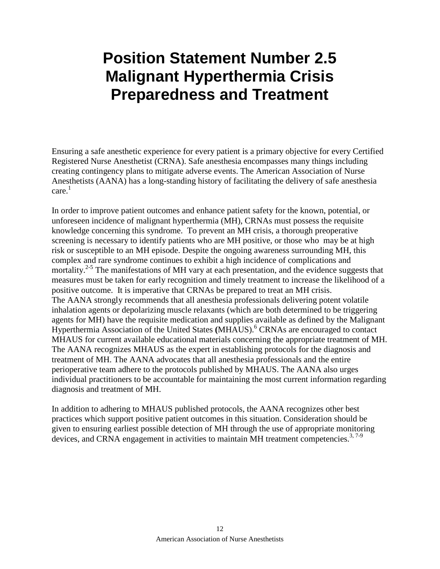# **Position Statement Number 2.5 Malignant Hyperthermia Crisis Preparedness and Treatment**

Ensuring a safe anesthetic experience for every patient is a primary objective for every Certified Registered Nurse Anesthetist (CRNA). Safe anesthesia encompasses many things including creating contingency plans to mitigate adverse events. The American Association of Nurse Anesthetists (AANA) has a long-standing history of facilitating the delivery of safe anesthesia care. 1

In order to improve patient outcomes and enhance patient safety for the known, potential, or unforeseen incidence of malignant hyperthermia (MH), CRNAs must possess the requisite knowledge concerning this syndrome. To prevent an MH crisis, a thorough preoperative screening is necessary to identify patients who are MH positive, or those who may be at high risk or susceptible to an MH episode. Despite the ongoing awareness surrounding MH, this complex and rare syndrome continues to exhibit a high incidence of complications and mortality.<sup>2-5</sup> The manifestations of MH vary at each presentation, and the evidence suggests that The AANA strongly recommends that all anesthesia professionals delivering potent volatile inhalation agents or depolarizing muscle relaxants (which are both determined to be triggering agents for MH) have the requisite medication and supplies available as defined by the Malignant Hyperthermia Association of the United States **(**MHAUS). <sup>6</sup> CRNAs are encouraged to contact measures must be taken for early recognition and timely treatment to increase the likelihood of a positive outcome. It is imperative that CRNAs be prepared to treat an MH crisis. MHAUS for current available educational materials concerning the appropriate treatment of MH. The AANA recognizes MHAUS as the expert in establishing protocols for the diagnosis and treatment of MH. The AANA advocates that all anesthesia professionals and the entire perioperative team adhere to the protocols published by MHAUS. The AANA also urges individual practitioners to be accountable for maintaining the most current information regarding diagnosis and treatment of MH.

In addition to adhering to MHAUS published protocols, the AANA recognizes other best practices which support positive patient outcomes in this situation. Consideration should be given to ensuring earliest possible detection of MH through the use of appropriate monitoring devices, and CRNA engagement in activities to maintain MH treatment competencies.<sup>3, 7-9</sup>